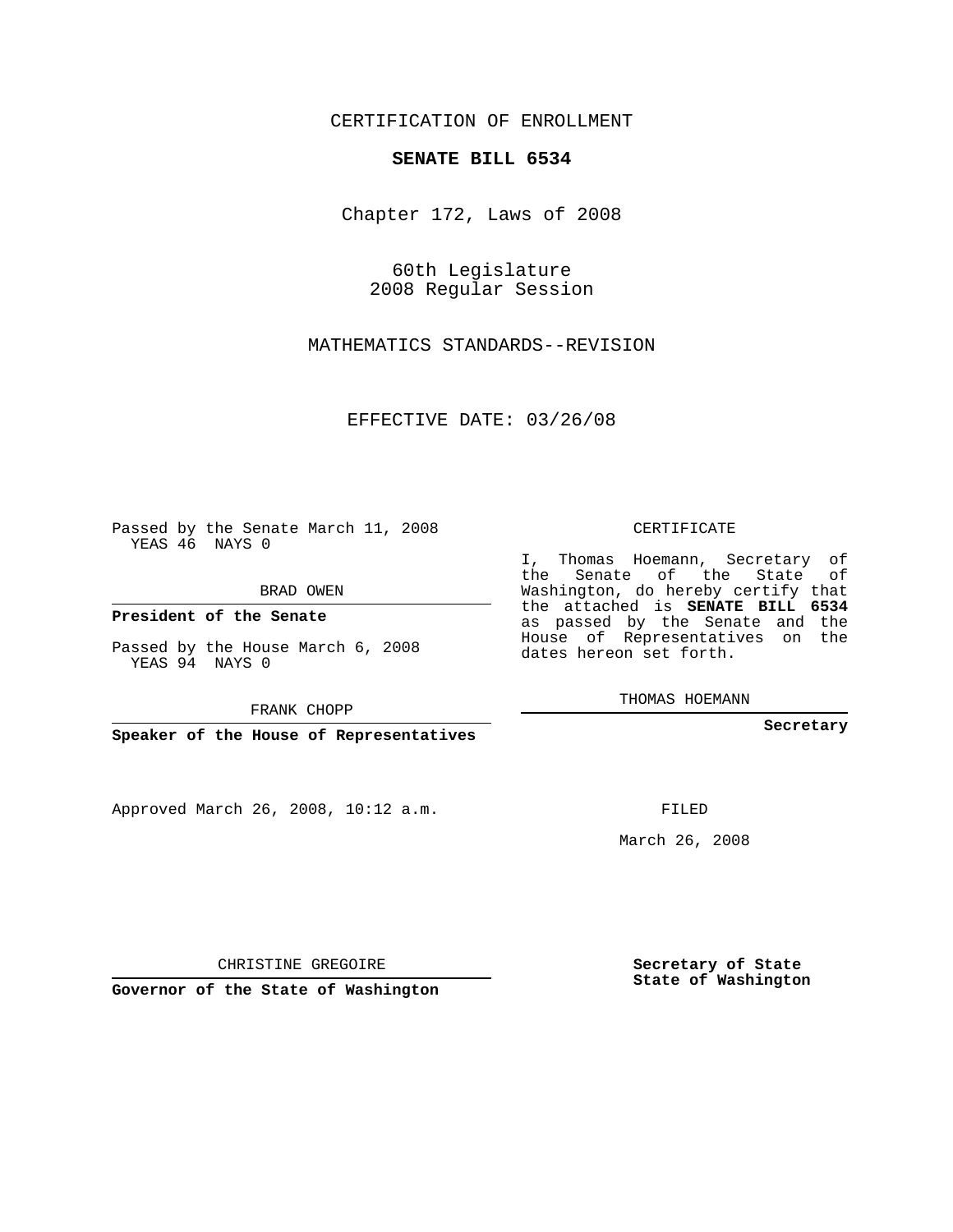CERTIFICATION OF ENROLLMENT

## **SENATE BILL 6534**

Chapter 172, Laws of 2008

60th Legislature 2008 Regular Session

MATHEMATICS STANDARDS--REVISION

EFFECTIVE DATE: 03/26/08

Passed by the Senate March 11, 2008 YEAS 46 NAYS 0

BRAD OWEN

**President of the Senate**

Passed by the House March 6, 2008 YEAS 94 NAYS 0

FRANK CHOPP

**Speaker of the House of Representatives**

Approved March 26, 2008, 10:12 a.m.

CERTIFICATE

I, Thomas Hoemann, Secretary of the Senate of the State of Washington, do hereby certify that the attached is **SENATE BILL 6534** as passed by the Senate and the House of Representatives on the dates hereon set forth.

THOMAS HOEMANN

**Secretary**

FILED

March 26, 2008

**Secretary of State State of Washington**

CHRISTINE GREGOIRE

**Governor of the State of Washington**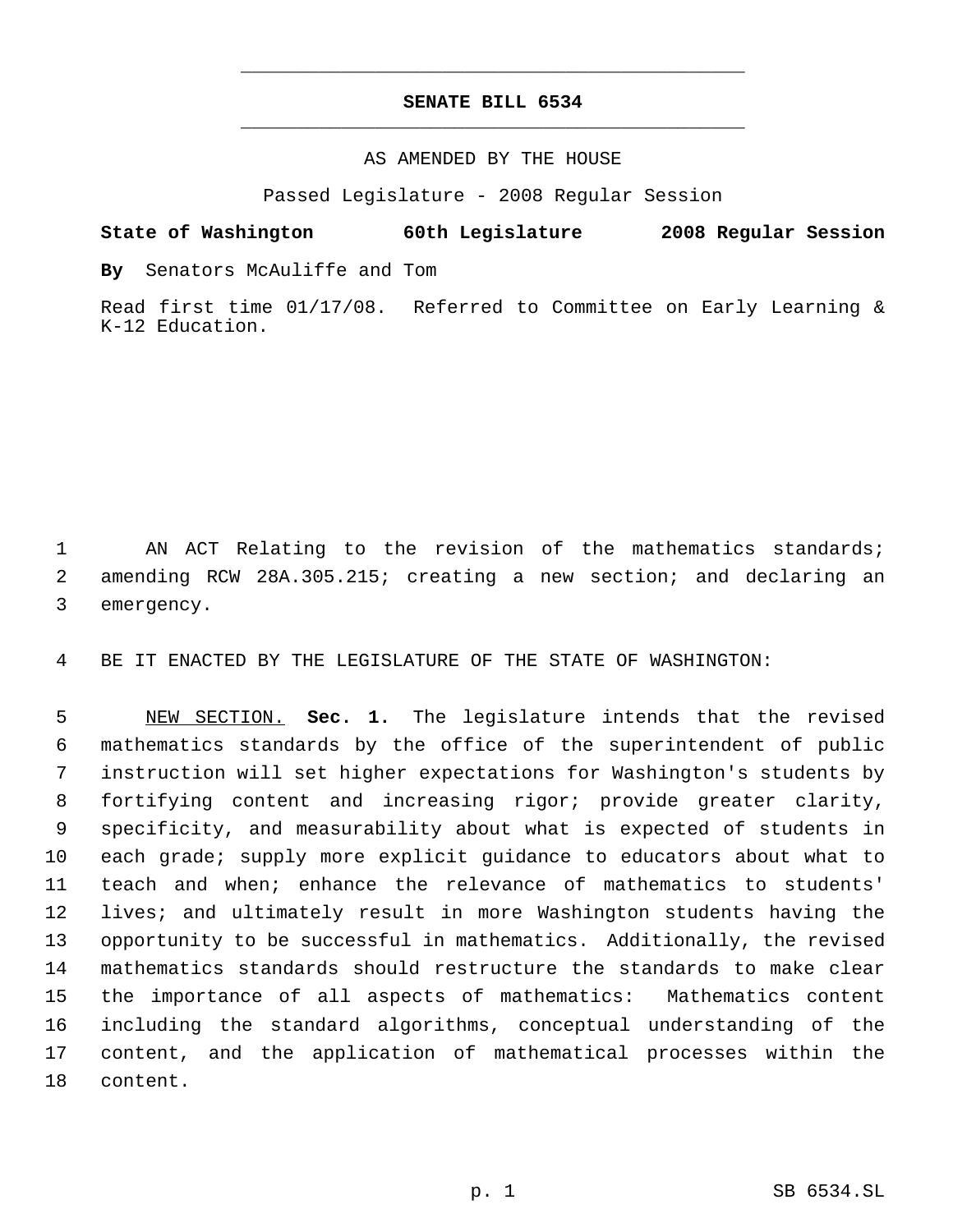## **SENATE BILL 6534** \_\_\_\_\_\_\_\_\_\_\_\_\_\_\_\_\_\_\_\_\_\_\_\_\_\_\_\_\_\_\_\_\_\_\_\_\_\_\_\_\_\_\_\_\_

\_\_\_\_\_\_\_\_\_\_\_\_\_\_\_\_\_\_\_\_\_\_\_\_\_\_\_\_\_\_\_\_\_\_\_\_\_\_\_\_\_\_\_\_\_

## AS AMENDED BY THE HOUSE

Passed Legislature - 2008 Regular Session

**State of Washington 60th Legislature 2008 Regular Session**

**By** Senators McAuliffe and Tom

Read first time 01/17/08. Referred to Committee on Early Learning & K-12 Education.

 AN ACT Relating to the revision of the mathematics standards; amending RCW 28A.305.215; creating a new section; and declaring an emergency.

BE IT ENACTED BY THE LEGISLATURE OF THE STATE OF WASHINGTON:

 NEW SECTION. **Sec. 1.** The legislature intends that the revised mathematics standards by the office of the superintendent of public instruction will set higher expectations for Washington's students by fortifying content and increasing rigor; provide greater clarity, specificity, and measurability about what is expected of students in each grade; supply more explicit guidance to educators about what to teach and when; enhance the relevance of mathematics to students' lives; and ultimately result in more Washington students having the opportunity to be successful in mathematics. Additionally, the revised mathematics standards should restructure the standards to make clear the importance of all aspects of mathematics: Mathematics content including the standard algorithms, conceptual understanding of the content, and the application of mathematical processes within the content.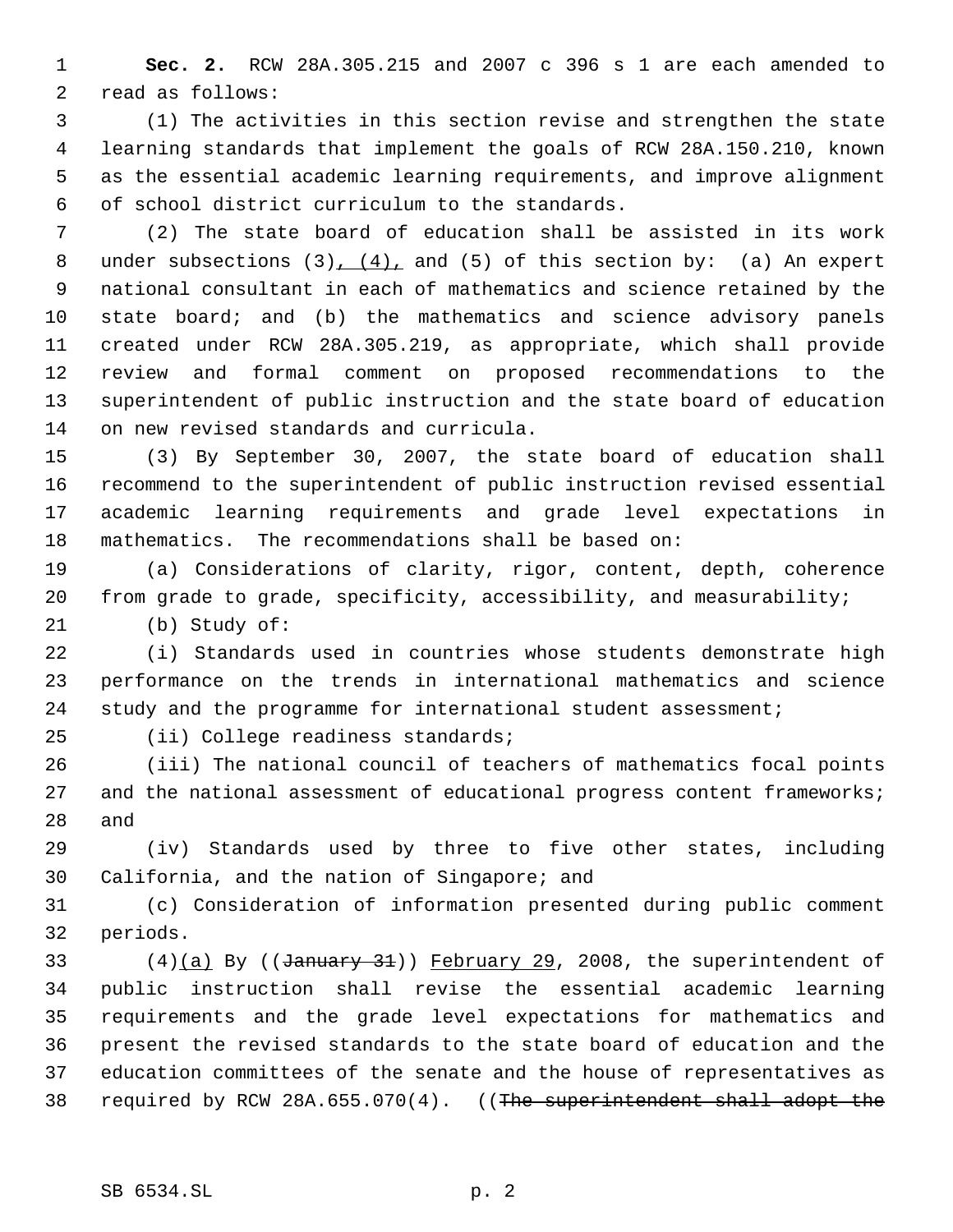**Sec. 2.** RCW 28A.305.215 and 2007 c 396 s 1 are each amended to read as follows:

 (1) The activities in this section revise and strengthen the state learning standards that implement the goals of RCW 28A.150.210, known as the essential academic learning requirements, and improve alignment of school district curriculum to the standards.

 (2) The state board of education shall be assisted in its work 8 under subsections  $(3)$ ,  $(4)$ , and  $(5)$  of this section by:  $(a)$  An expert national consultant in each of mathematics and science retained by the state board; and (b) the mathematics and science advisory panels created under RCW 28A.305.219, as appropriate, which shall provide review and formal comment on proposed recommendations to the superintendent of public instruction and the state board of education on new revised standards and curricula.

 (3) By September 30, 2007, the state board of education shall recommend to the superintendent of public instruction revised essential academic learning requirements and grade level expectations in mathematics. The recommendations shall be based on:

 (a) Considerations of clarity, rigor, content, depth, coherence from grade to grade, specificity, accessibility, and measurability;

(b) Study of:

 (i) Standards used in countries whose students demonstrate high performance on the trends in international mathematics and science study and the programme for international student assessment;

(ii) College readiness standards;

 (iii) The national council of teachers of mathematics focal points and the national assessment of educational progress content frameworks; and

 (iv) Standards used by three to five other states, including California, and the nation of Singapore; and

 (c) Consideration of information presented during public comment periods.

33 (4)(a) By (( $\frac{3}{4}$ )) February 29, 2008, the superintendent of public instruction shall revise the essential academic learning requirements and the grade level expectations for mathematics and present the revised standards to the state board of education and the education committees of the senate and the house of representatives as 38 required by RCW 28A.655.070(4). ((The superintendent shall adopt the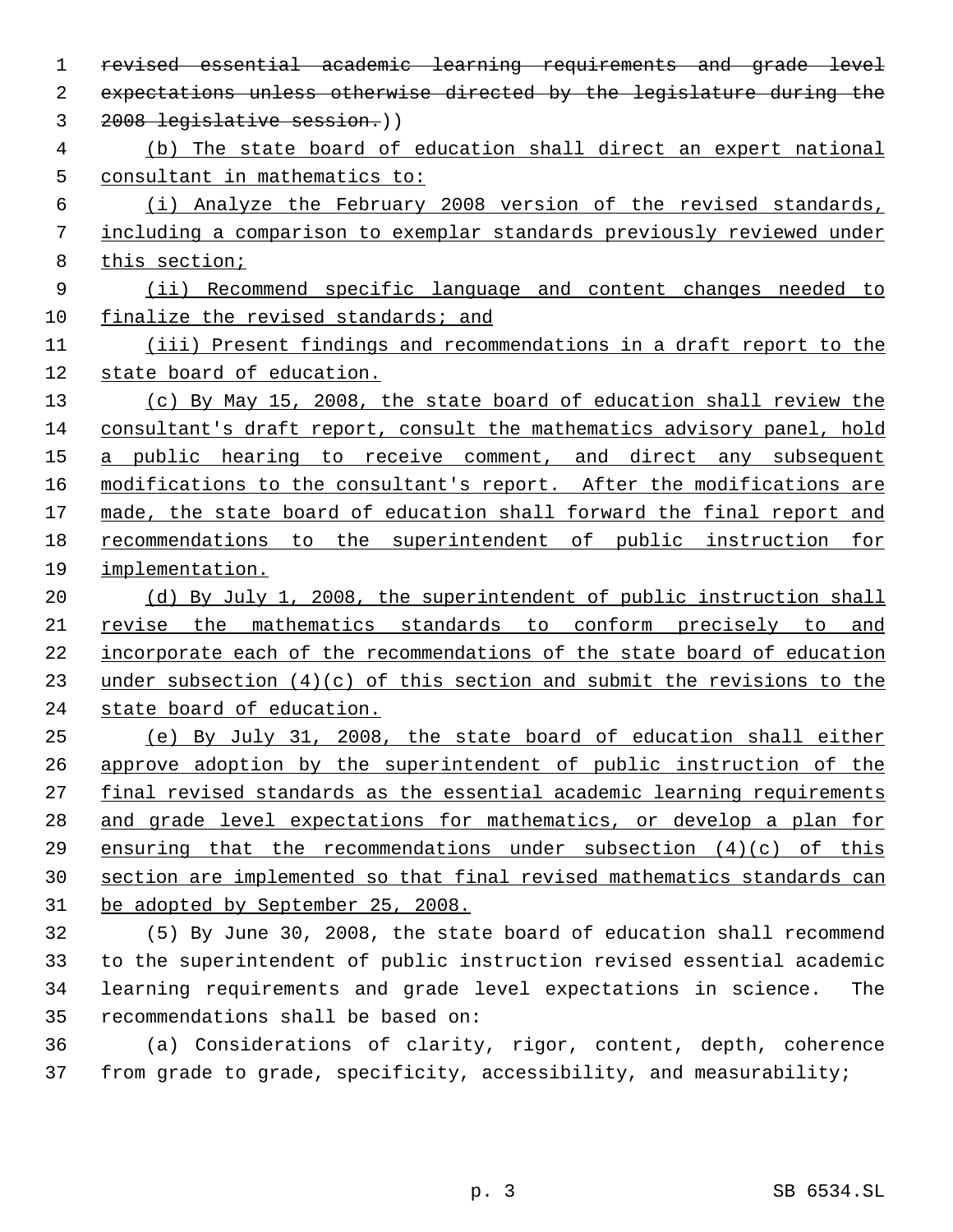revised essential academic learning requirements and grade level expectations unless otherwise directed by the legislature during the 2008 legislative session.)) (b) The state board of education shall direct an expert national consultant in mathematics to: (i) Analyze the February 2008 version of the revised standards, including a comparison to exemplar standards previously reviewed under this section; (ii) Recommend specific language and content changes needed to finalize the revised standards; and (iii) Present findings and recommendations in a draft report to the 12 state board of education. (c) By May 15, 2008, the state board of education shall review the consultant's draft report, consult the mathematics advisory panel, hold 15 a public hearing to receive comment, and direct any subsequent 16 modifications to the consultant's report. After the modifications are made, the state board of education shall forward the final report and recommendations to the superintendent of public instruction for implementation. (d) By July 1, 2008, the superintendent of public instruction shall revise the mathematics standards to conform precisely to and incorporate each of the recommendations of the state board of education under subsection (4)(c) of this section and submit the revisions to the state board of education. (e) By July 31, 2008, the state board of education shall either approve adoption by the superintendent of public instruction of the final revised standards as the essential academic learning requirements and grade level expectations for mathematics, or develop a plan for ensuring that the recommendations under subsection (4)(c) of this section are implemented so that final revised mathematics standards can be adopted by September 25, 2008. (5) By June 30, 2008, the state board of education shall recommend to the superintendent of public instruction revised essential academic learning requirements and grade level expectations in science. The recommendations shall be based on:

 (a) Considerations of clarity, rigor, content, depth, coherence from grade to grade, specificity, accessibility, and measurability;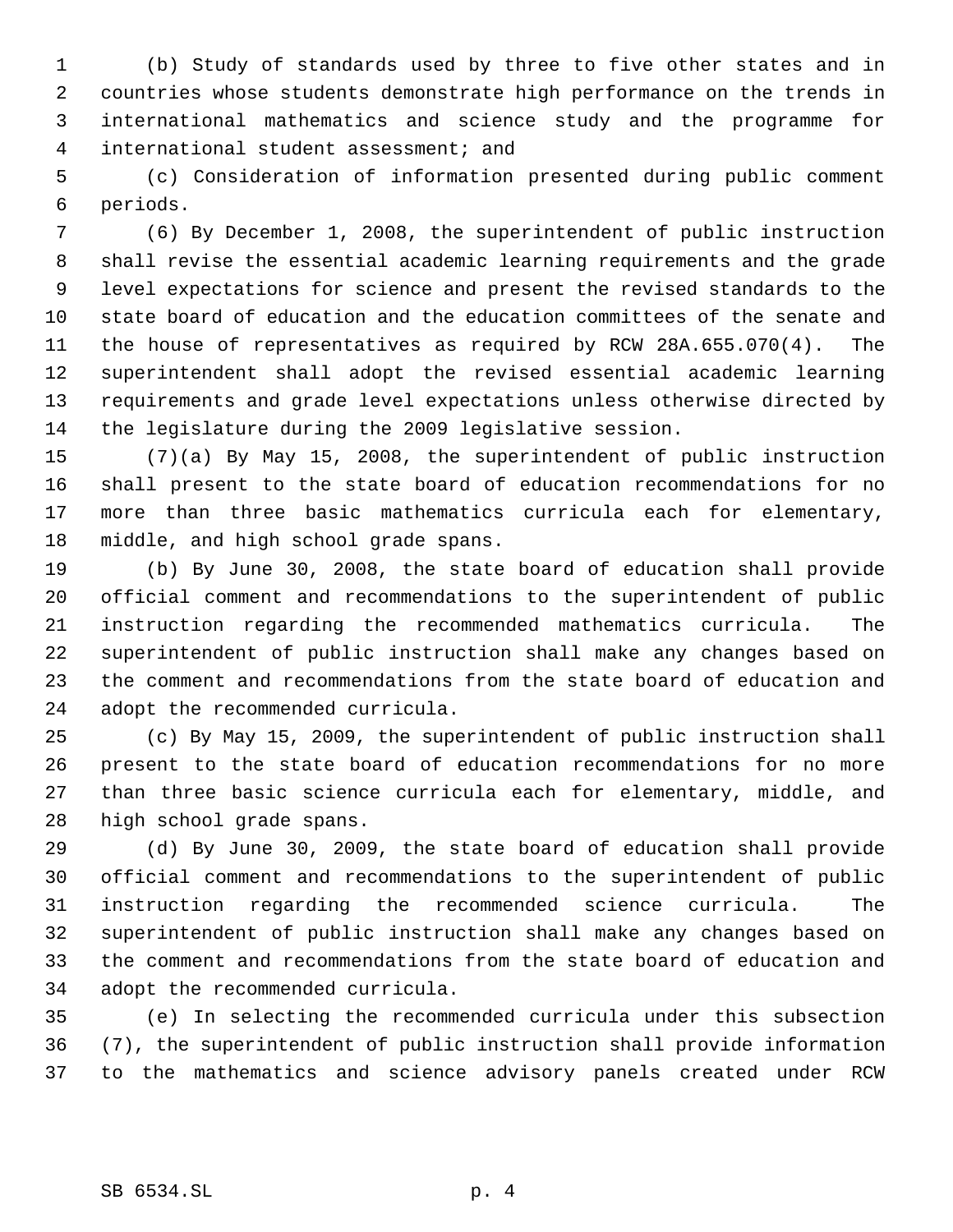(b) Study of standards used by three to five other states and in countries whose students demonstrate high performance on the trends in international mathematics and science study and the programme for international student assessment; and

 (c) Consideration of information presented during public comment periods.

 (6) By December 1, 2008, the superintendent of public instruction shall revise the essential academic learning requirements and the grade level expectations for science and present the revised standards to the state board of education and the education committees of the senate and the house of representatives as required by RCW 28A.655.070(4). The superintendent shall adopt the revised essential academic learning requirements and grade level expectations unless otherwise directed by the legislature during the 2009 legislative session.

 (7)(a) By May 15, 2008, the superintendent of public instruction shall present to the state board of education recommendations for no more than three basic mathematics curricula each for elementary, middle, and high school grade spans.

 (b) By June 30, 2008, the state board of education shall provide official comment and recommendations to the superintendent of public instruction regarding the recommended mathematics curricula. The superintendent of public instruction shall make any changes based on the comment and recommendations from the state board of education and adopt the recommended curricula.

 (c) By May 15, 2009, the superintendent of public instruction shall present to the state board of education recommendations for no more than three basic science curricula each for elementary, middle, and high school grade spans.

 (d) By June 30, 2009, the state board of education shall provide official comment and recommendations to the superintendent of public instruction regarding the recommended science curricula. The superintendent of public instruction shall make any changes based on the comment and recommendations from the state board of education and adopt the recommended curricula.

 (e) In selecting the recommended curricula under this subsection (7), the superintendent of public instruction shall provide information to the mathematics and science advisory panels created under RCW